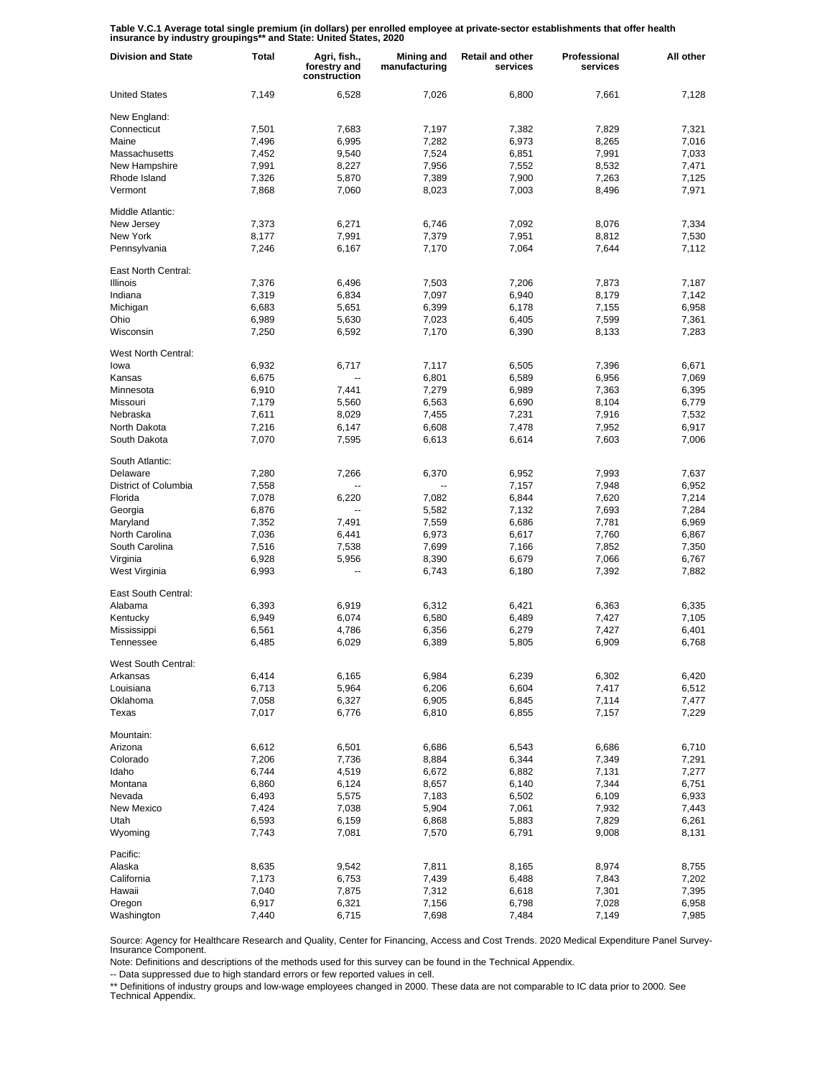**Table V.C.1 Average total single premium (in dollars) per enrolled employee at private-sector establishments that offer health insurance by industry groupings\*\* and State: United States, 2020**

| <b>Division and State</b>    | <b>Total</b>   | Agri, fish.,<br>forestry and<br>construction | Mining and<br>manufacturing | <b>Retail and other</b><br>services | Professional<br>services | All other      |
|------------------------------|----------------|----------------------------------------------|-----------------------------|-------------------------------------|--------------------------|----------------|
| <b>United States</b>         | 7,149          | 6,528                                        | 7,026                       | 6,800                               | 7,661                    | 7,128          |
| New England:                 |                |                                              |                             |                                     |                          |                |
| Connecticut                  | 7,501          | 7,683                                        | 7,197                       | 7,382                               | 7,829                    | 7,321          |
| Maine                        | 7,496          | 6,995                                        | 7,282                       | 6,973                               | 8,265                    | 7,016          |
| Massachusetts                | 7,452          | 9,540                                        | 7,524                       | 6,851                               | 7,991                    | 7,033          |
| New Hampshire                | 7,991          | 8,227                                        | 7,956                       | 7,552                               | 8,532                    | 7,471          |
| Rhode Island                 | 7,326          | 5,870                                        | 7,389                       | 7,900                               | 7,263                    | 7,125          |
| Vermont                      | 7,868          | 7,060                                        | 8,023                       | 7,003                               | 8,496                    | 7,971          |
| Middle Atlantic:             |                |                                              |                             |                                     |                          |                |
| New Jersey                   | 7,373          | 6,271                                        | 6,746                       | 7,092                               | 8,076                    | 7,334          |
| New York                     | 8,177          | 7,991                                        | 7,379                       | 7,951                               | 8,812                    | 7,530          |
| Pennsylvania                 | 7,246          | 6,167                                        | 7,170                       | 7,064                               | 7,644                    | 7,112          |
| East North Central:          |                |                                              |                             |                                     |                          |                |
| <b>Illinois</b>              | 7,376          | 6,496                                        | 7,503                       | 7,206                               | 7,873                    | 7,187          |
| Indiana                      | 7,319          | 6,834                                        | 7,097                       | 6,940                               | 8,179                    | 7,142          |
| Michigan                     | 6,683          | 5,651                                        | 6,399                       | 6,178                               | 7,155                    | 6,958          |
| Ohio                         | 6,989          | 5,630                                        | 7,023                       | 6,405                               | 7,599                    | 7,361          |
| Wisconsin                    | 7,250          | 6,592                                        | 7,170                       | 6,390                               | 8,133                    | 7,283          |
| West North Central:          |                |                                              |                             |                                     |                          |                |
| lowa                         | 6,932          | 6,717                                        | 7,117                       | 6,505                               | 7,396                    | 6,671          |
| Kansas                       | 6,675          | --                                           | 6,801                       | 6,589                               | 6,956                    | 7,069          |
| Minnesota                    | 6,910          | 7,441                                        | 7,279                       | 6,989                               | 7,363                    | 6,395          |
| Missouri                     | 7,179          | 5,560                                        | 6,563                       | 6,690                               | 8,104                    | 6,779          |
| Nebraska                     | 7,611          | 8,029                                        | 7,455                       | 7,231                               | 7,916                    | 7,532          |
| North Dakota<br>South Dakota | 7,216<br>7,070 | 6,147<br>7,595                               | 6,608                       | 7,478                               | 7,952<br>7,603           | 6,917<br>7,006 |
|                              |                |                                              | 6,613                       | 6,614                               |                          |                |
| South Atlantic:              |                |                                              |                             |                                     |                          |                |
| Delaware                     | 7,280          | 7,266                                        | 6,370                       | 6,952                               | 7,993                    | 7,637          |
| District of Columbia         | 7,558          |                                              |                             | 7,157                               | 7,948                    | 6,952          |
| Florida                      | 7,078          | 6,220                                        | 7,082                       | 6,844                               | 7,620                    | 7,214          |
| Georgia                      | 6,876          | Ξ.                                           | 5,582                       | 7,132                               | 7,693                    | 7,284          |
| Maryland                     | 7,352          | 7,491                                        | 7,559                       | 6,686                               | 7,781                    | 6,969          |
| North Carolina               | 7,036          | 6,441                                        | 6,973                       | 6,617                               | 7,760                    | 6,867          |
| South Carolina               | 7,516          | 7,538                                        | 7,699                       | 7,166                               | 7,852                    | 7,350          |
| Virginia                     | 6,928          | 5,956                                        | 8,390                       | 6,679                               | 7,066                    | 6,767          |
| West Virginia                | 6,993          | ц,                                           | 6,743                       | 6,180                               | 7,392                    | 7,882          |
| East South Central:          |                |                                              |                             |                                     |                          |                |
| Alabama                      | 6,393          | 6,919                                        | 6,312                       | 6,421                               | 6,363                    | 6,335          |
| Kentucky                     | 6,949          | 6,074                                        | 6,580                       | 6,489                               | 7,427                    | 7,105          |
| Mississippi                  | 6,561          | 4,786                                        | 6,356                       | 6,279                               | 7,427                    | 6,401          |
| Tennessee                    | 6,485          | 6,029                                        | 6,389                       | 5,805                               | 6,909                    | 6,768          |
| West South Central:          |                |                                              |                             |                                     |                          |                |
| Arkansas                     | 6,414          | 6,165                                        | 6,984                       | 6,239                               | 6,302                    | 6,420          |
| Louisiana                    | 6,713          | 5,964                                        | 6,206                       | 6,604                               | 7,417                    | 6,512          |
| Oklahoma                     | 7,058          | 6,327                                        | 6,905                       | 6,845                               | 7,114                    | 7,477          |
| Texas                        | 7,017          | 6,776                                        | 6,810                       | 6,855                               | 7,157                    | 7,229          |
| Mountain:                    |                |                                              |                             |                                     |                          |                |
| Arizona                      | 6,612          | 6,501                                        | 6,686                       | 6,543                               | 6,686                    | 6,710          |
| Colorado                     | 7,206          | 7,736                                        | 8,884                       | 6,344                               | 7,349                    | 7,291          |
| Idaho                        | 6,744          | 4,519                                        | 6,672                       | 6,882                               | 7,131                    | 7,277          |
| Montana                      | 6,860          | 6,124                                        | 8,657                       | 6,140                               | 7,344                    | 6,751          |
| Nevada                       | 6,493          | 5,575                                        | 7,183                       | 6,502                               | 6,109                    | 6,933          |
| New Mexico                   | 7,424          | 7,038                                        | 5,904                       | 7,061                               | 7,932                    | 7,443          |
| Utah                         | 6,593          | 6,159                                        | 6,868                       | 5,883                               | 7,829                    | 6,261          |
| Wyoming                      | 7,743          | 7,081                                        | 7,570                       | 6,791                               | 9,008                    | 8,131          |
| Pacific:                     |                |                                              |                             |                                     |                          |                |
| Alaska                       | 8,635          | 9,542                                        | 7,811                       | 8,165                               | 8,974                    | 8,755          |
| California                   | 7,173          | 6,753                                        | 7,439                       | 6,488                               | 7,843                    | 7,202          |
| Hawaii                       | 7,040          | 7,875                                        | 7,312                       | 6,618                               | 7,301                    | 7,395          |
| Oregon                       | 6,917          | 6,321                                        | 7,156                       | 6,798                               | 7,028                    | 6,958          |
| Washington                   | 7,440          | 6,715                                        | 7,698                       | 7,484                               | 7,149                    | 7,985          |

Source: Agency for Healthcare Research and Quality, Center for Financing, Access and Cost Trends. 2020 Medical Expenditure Panel Survey-Insurance Component.

Note: Definitions and descriptions of the methods used for this survey can be found in the Technical Appendix.

-- Data suppressed due to high standard errors or few reported values in cell.

\*\* Definitions of industry groups and low-wage employees changed in 2000. These data are not comparable to IC data prior to 2000. See Technical Appendix.